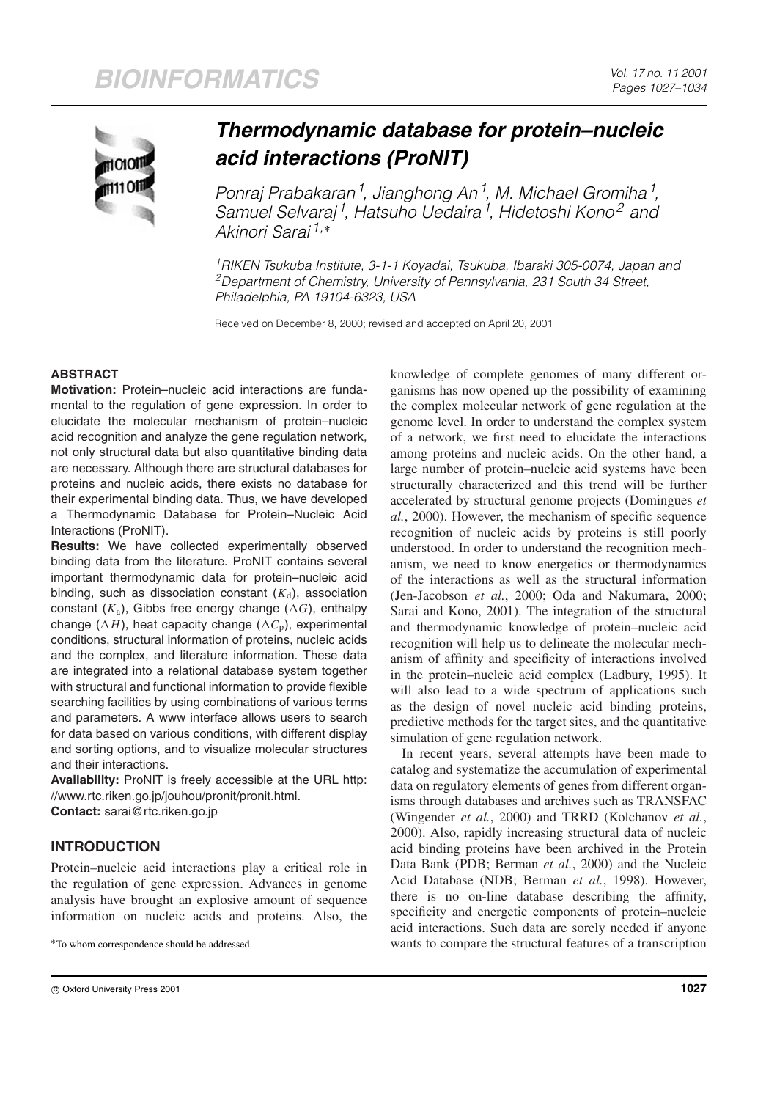

# **Thermodynamic database for protein–nucleic acid interactions (ProNIT)**

Ponraj Prabakaran <sup>1</sup>, Jianghong An <sup>1</sup>, M. Michael Gromiha <sup>1</sup>, Samuel Selvaraj<sup>1</sup>, Hatsuho Uedaira<sup>1</sup>, Hidetoshi Kono<sup>2</sup> and Akinori Sarai 1,<sup>∗</sup>

<sup>1</sup>RIKEN Tsukuba Institute, 3-1-1 Koyadai, Tsukuba, Ibaraki 305-0074, Japan and <sup>2</sup>Department of Chemistry, University of Pennsylvania, <sup>231</sup> South <sup>34</sup> Street, Philadelphia, PA 19104-6323, USA

Received on December 8, 2000; revised and accepted on April 20, 2001

#### **ABSTRACT**

**Motivation:** Protein–nucleic acid interactions are fundamental to the regulation of gene expression. In order to elucidate the molecular mechanism of protein–nucleic acid recognition and analyze the gene regulation network, not only structural data but also quantitative binding data are necessary. Although there are structural databases for proteins and nucleic acids, there exists no database for their experimental binding data. Thus, we have developed a Thermodynamic Database for Protein–Nucleic Acid Interactions (ProNIT).

**Results:** We have collected experimentally observed binding data from the literature. ProNIT contains several important thermodynamic data for protein–nucleic acid binding, such as dissociation constant  $(K_d)$ , association constant  $(K_a)$ , Gibbs free energy change  $(\Delta G)$ , enthalpy change ( $\Delta H$ ), heat capacity change ( $\Delta C_{\rm p}$ ), experimental conditions, structural information of proteins, nucleic acids and the complex, and literature information. These data are integrated into a relational database system together with structural and functional information to provide flexible searching facilities by using combinations of various terms and parameters. A www interface allows users to search for data based on various conditions, with different display and sorting options, and to visualize molecular structures and their interactions.

**Availability:** ProNIT is freely accessible at the URL http: //www.rtc.riken.go.jp/jouhou/pronit/pronit.html. **Contact:** sarai@rtc.riken.go.jp

#### **INTRODUCTION**

Protein–nucleic acid interactions play a critical role in the regulation of gene expression. Advances in genome analysis have brought an explosive amount of sequence information on nucleic acids and proteins. Also, the

-c Oxford University Press 2001 **1027**

knowledge of complete genomes of many different organisms has now opened up the possibility of examining the complex molecular network of gene regulation at the genome level. In order to understand the complex system of a network, we first need to elucidate the interactions among proteins and nucleic acids. On the other hand, a large number of protein–nucleic acid systems have been structurally characterized and this trend will be further accelerated by structural genome projects (Domingues *et al.*, 2000). However, the mechanism of specific sequence recognition of nucleic acids by proteins is still poorly understood. In order to understand the recognition mechanism, we need to know energetics or thermodynamics of the interactions as well as the structural information (Jen-Jacobson *et al.*, 2000; Oda and Nakumara, 2000; Sarai and Kono, 2001). The integration of the structural and thermodynamic knowledge of protein–nucleic acid recognition will help us to delineate the molecular mechanism of affinity and specificity of interactions involved in the protein–nucleic acid complex (Ladbury, 1995). It will also lead to a wide spectrum of applications such as the design of novel nucleic acid binding proteins, predictive methods for the target sites, and the quantitative simulation of gene regulation network.

In recent years, several attempts have been made to catalog and systematize the accumulation of experimental data on regulatory elements of genes from different organisms through databases and archives such as TRANSFAC (Wingender *et al.*, 2000) and TRRD (Kolchanov *et al.*, 2000). Also, rapidly increasing structural data of nucleic acid binding proteins have been archived in the Protein Data Bank (PDB; Berman *et al.*, 2000) and the Nucleic Acid Database (NDB; Berman *et al.*, 1998). However, there is no on-line database describing the affinity, specificity and energetic components of protein–nucleic acid interactions. Such data are sorely needed if anyone wants to compare the structural features of a transcription

<sup>∗</sup>To whom correspondence should be addressed.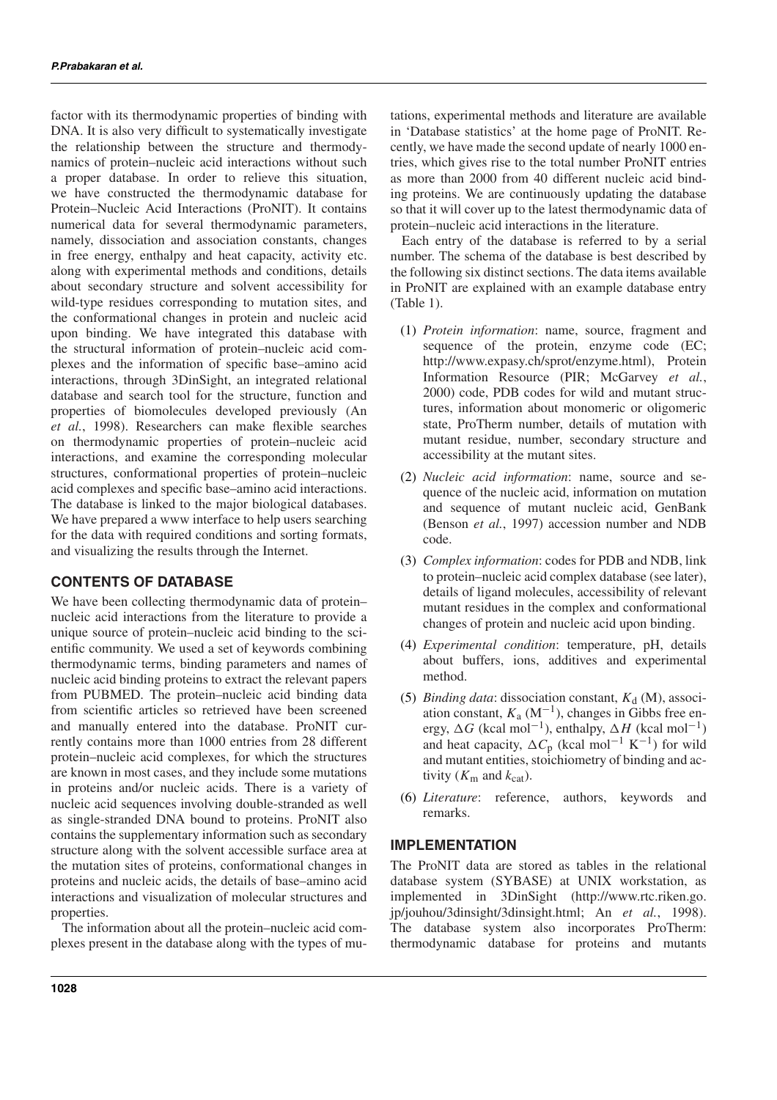factor with its thermodynamic properties of binding with DNA. It is also very difficult to systematically investigate the relationship between the structure and thermodynamics of protein–nucleic acid interactions without such a proper database. In order to relieve this situation, we have constructed the thermodynamic database for Protein–Nucleic Acid Interactions (ProNIT). It contains numerical data for several thermodynamic parameters, namely, dissociation and association constants, changes in free energy, enthalpy and heat capacity, activity etc. along with experimental methods and conditions, details about secondary structure and solvent accessibility for wild-type residues corresponding to mutation sites, and the conformational changes in protein and nucleic acid upon binding. We have integrated this database with the structural information of protein–nucleic acid complexes and the information of specific base–amino acid interactions, through 3DinSight, an integrated relational database and search tool for the structure, function and properties of biomolecules developed previously (An *et al.*, 1998). Researchers can make flexible searches on thermodynamic properties of protein–nucleic acid interactions, and examine the corresponding molecular structures, conformational properties of protein–nucleic acid complexes and specific base–amino acid interactions. The database is linked to the major biological databases. We have prepared a www interface to help users searching for the data with required conditions and sorting formats, and visualizing the results through the Internet.

### **CONTENTS OF DATABASE**

We have been collecting thermodynamic data of protein– nucleic acid interactions from the literature to provide a unique source of protein–nucleic acid binding to the scientific community. We used a set of keywords combining thermodynamic terms, binding parameters and names of nucleic acid binding proteins to extract the relevant papers from PUBMED. The protein–nucleic acid binding data from scientific articles so retrieved have been screened and manually entered into the database. ProNIT currently contains more than 1000 entries from 28 different protein–nucleic acid complexes, for which the structures are known in most cases, and they include some mutations in proteins and/or nucleic acids. There is a variety of nucleic acid sequences involving double-stranded as well as single-stranded DNA bound to proteins. ProNIT also contains the supplementary information such as secondary structure along with the solvent accessible surface area at the mutation sites of proteins, conformational changes in proteins and nucleic acids, the details of base–amino acid interactions and visualization of molecular structures and properties.

The information about all the protein–nucleic acid complexes present in the database along with the types of mu-

tations, experimental methods and literature are available in 'Database statistics' at the home page of ProNIT. Recently, we have made the second update of nearly 1000 entries, which gives rise to the total number ProNIT entries as more than 2000 from 40 different nucleic acid binding proteins. We are continuously updating the database so that it will cover up to the latest thermodynamic data of protein–nucleic acid interactions in the literature.

Each entry of the database is referred to by a serial number. The schema of the database is best described by the following six distinct sections. The data items available in ProNIT are explained with an example database entry (Table 1).

- (1) *Protein information*: name, source, fragment and sequence of the protein, enzyme code (EC; http://www.expasy.ch/sprot/enzyme.html), Protein Information Resource (PIR; McGarvey *et al.*, 2000) code, PDB codes for wild and mutant structures, information about monomeric or oligomeric state, ProTherm number, details of mutation with mutant residue, number, secondary structure and accessibility at the mutant sites.
- (2) *Nucleic acid information*: name, source and sequence of the nucleic acid, information on mutation and sequence of mutant nucleic acid, GenBank (Benson *et al.*, 1997) accession number and NDB code.
- (3) *Complex information*: codes for PDB and NDB, link to protein–nucleic acid complex database (see later), details of ligand molecules, accessibility of relevant mutant residues in the complex and conformational changes of protein and nucleic acid upon binding.
- (4) *Experimental condition*: temperature, pH, details about buffers, ions, additives and experimental method.
- (5) *Binding data*: dissociation constant,  $K_d$  (M), association constant,  $K_a$  (M<sup>-1</sup>), changes in Gibbs free energy,  $\Delta G$  (kcal mol<sup>-1</sup>), enthalpy,  $\Delta H$  (kcal mol<sup>-1</sup>) and heat capacity,  $\Delta C_p$  (kcal mol<sup>-1</sup> K<sup>-1</sup>) for wild and mutant entities, stoichiometry of binding and activity  $(K<sub>m</sub>$  and  $k<sub>cat</sub>)$ .
- (6) *Literature*: reference, authors, keywords and remarks.

#### **IMPLEMENTATION**

The ProNIT data are stored as tables in the relational database system (SYBASE) at UNIX workstation, as implemented in 3DinSight (http://www.rtc.riken.go. jp/jouhou/3dinsight/3dinsight.html; An *et al.*, 1998). The database system also incorporates ProTherm: thermodynamic database for proteins and mutants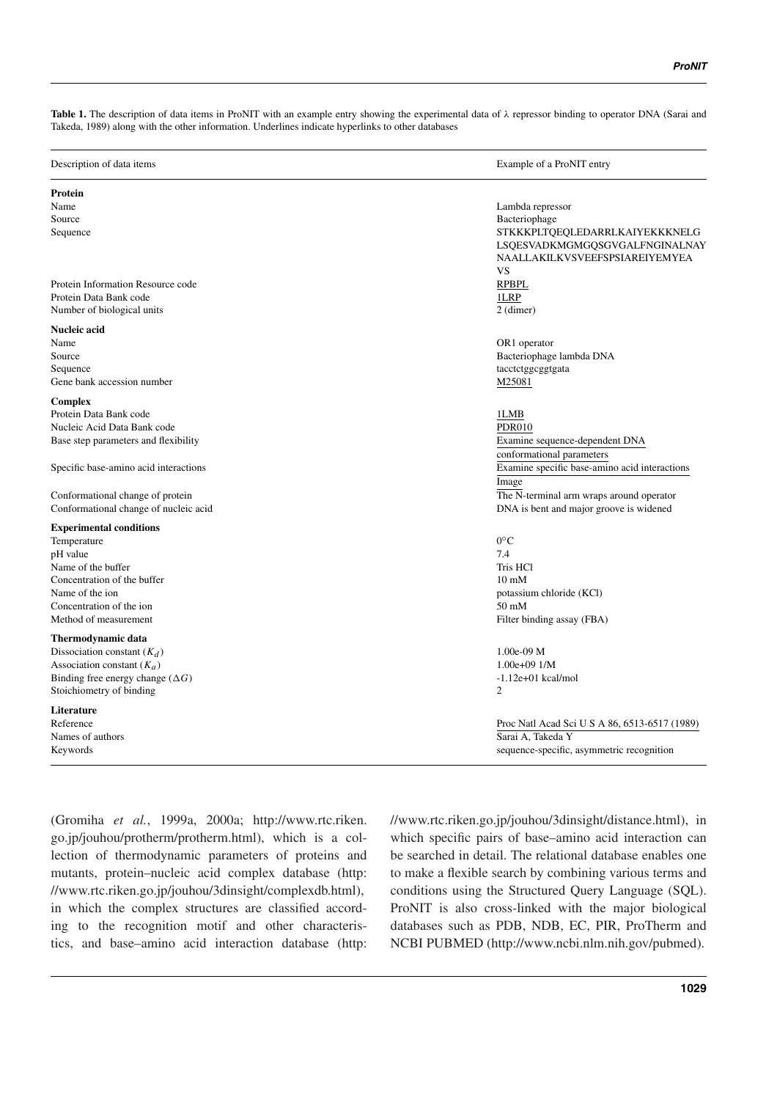**Table 1.** The description of data items in ProNIT with an example entry showing the experimental data of λ repressor binding to operator DNA (Sarai and Takeda, 1989) along with the other information. Underlines indicate hyperlinks to other databases

Example of a ProNIT entry

| Protein<br>Name<br>Source<br>Sequence                                                                                                                      | Lambda repressor<br>Bacteriophage<br>STKKKPLTQEQLEDARRLKAIYEKKKNELG<br>LSQESVADKMGMGQSGVGALFNGINALNAY<br>NAALLAKILKVSVEEFSPSIAREIYEMYEA<br>VS |
|------------------------------------------------------------------------------------------------------------------------------------------------------------|-----------------------------------------------------------------------------------------------------------------------------------------------|
| Protein Information Resource code<br>Protein Data Bank code<br>Number of biological units                                                                  | <b>RPBPL</b><br>1LRP<br>2 (dimer)                                                                                                             |
| Nucleic acid<br>Name<br>Source<br>Sequence<br>Gene bank accession number                                                                                   | OR1 operator<br>Bacteriophage lambda DNA<br>tacctctggcggtgata<br>M25081                                                                       |
| Complex<br>Protein Data Bank code<br>Nucleic Acid Data Bank code<br>Base step parameters and flexibility                                                   | 1LMB<br><b>PDR010</b><br>Examine sequence-dependent DNA<br>conformational parameters                                                          |
| Specific base-amino acid interactions<br>Conformational change of protein                                                                                  | Examine specific base-amino acid interactions<br>Image<br>The N-terminal arm wraps around operator                                            |
| Conformational change of nucleic acid<br><b>Experimental conditions</b>                                                                                    | DNA is bent and major groove is widened                                                                                                       |
| Temperature<br>pH value<br>Name of the buffer<br>Concentration of the buffer<br>Name of the ion<br>Concentration of the ion<br>Method of measurement       | $0^{\circ}$ C<br>7.4<br>Tris HCl<br>$10 \text{ mM}$<br>potassium chloride (KCl)<br>$50 \text{ mM}$<br>Filter binding assay (FBA)              |
| Thermodynamic data<br>Dissociation constant $(K_d)$<br>Association constant $(K_a)$<br>Binding free energy change $(\Delta G)$<br>Stoichiometry of binding | $1.00e-09$ M<br>$1.00e+09$ $1/M$<br>$-1.12e+01$ kcal/mol<br>$\overline{c}$                                                                    |
| Literature<br>Reference<br>Names of authors<br>Keywords                                                                                                    | Proc Natl Acad Sci U S A 86, 6513-6517 (1989)<br>Sarai A, Takeda Y<br>sequence-specific, asymmetric recognition                               |

(Gromiha *et al.*, 1999a, 2000a; http://www.rtc.riken. go.jp/jouhou/protherm/protherm.html), which is a collection of thermodynamic parameters of proteins and mutants, protein–nucleic acid complex database (http: //www.rtc.riken.go.jp/jouhou/3dinsight/complexdb.html), in which the complex structures are classified according to the recognition motif and other characteristics, and base–amino acid interaction database (http: //www.rtc.riken.go.jp/jouhou/3dinsight/distance.html), in which specific pairs of base–amino acid interaction can be searched in detail. The relational database enables one to make a flexible search by combining various terms and conditions using the Structured Query Language (SQL). ProNIT is also cross-linked with the major biological databases such as PDB, NDB, EC, PIR, ProTherm and NCBI PUBMED (http://www.ncbi.nlm.nih.gov/pubmed).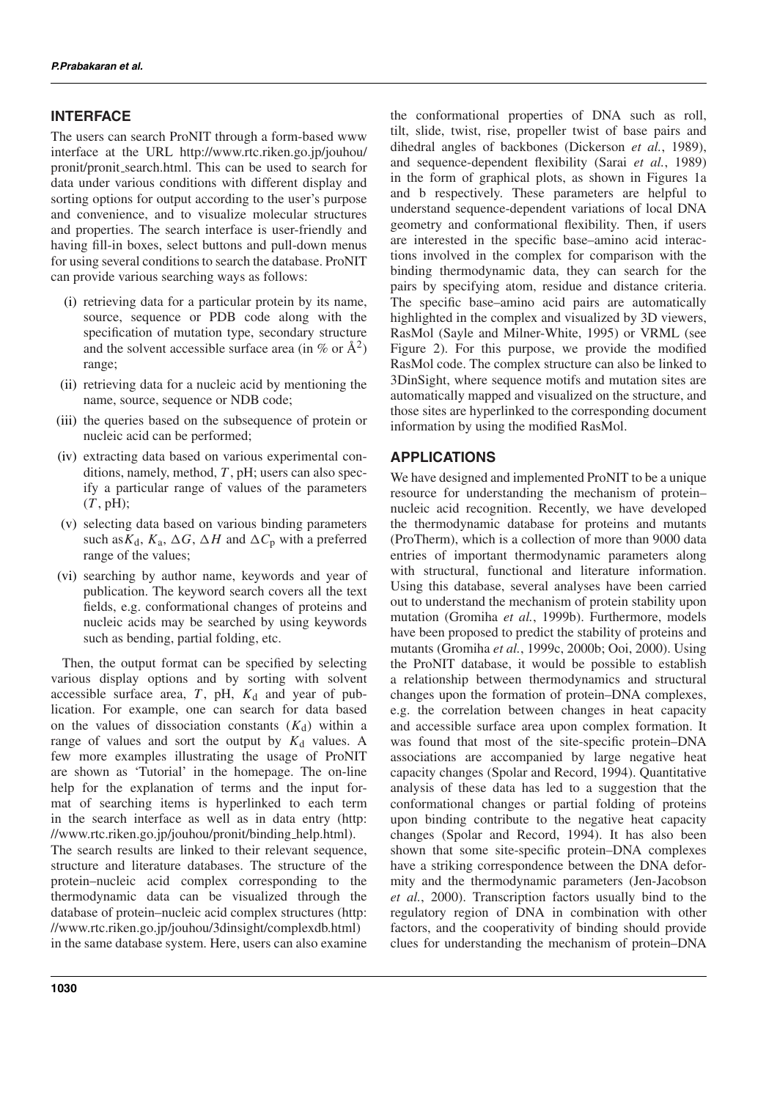## **INTERFACE**

The users can search ProNIT through a form-based www interface at the URL http://www.rtc.riken.go.jp/jouhou/ pronit/pronit search.html. This can be used to search for data under various conditions with different display and sorting options for output according to the user's purpose and convenience, and to visualize molecular structures and properties. The search interface is user-friendly and having fill-in boxes, select buttons and pull-down menus for using several conditions to search the database. ProNIT can provide various searching ways as follows:

- (i) retrieving data for a particular protein by its name, source, sequence or PDB code along with the specification of mutation type, secondary structure and the solvent accessible surface area (in  $%$  or  $\mathring{A}^{2}$ ) range;
- (ii) retrieving data for a nucleic acid by mentioning the name, source, sequence or NDB code;
- (iii) the queries based on the subsequence of protein or nucleic acid can be performed;
- (iv) extracting data based on various experimental conditions, namely, method, *T* , pH; users can also specify a particular range of values of the parameters  $(T, pH);$
- (v) selecting data based on various binding parameters such as  $K_d$ ,  $K_a$ ,  $\Delta G$ ,  $\Delta H$  and  $\Delta C_p$  with a preferred range of the values;
- (vi) searching by author name, keywords and year of publication. The keyword search covers all the text fields, e.g. conformational changes of proteins and nucleic acids may be searched by using keywords such as bending, partial folding, etc.

Then, the output format can be specified by selecting various display options and by sorting with solvent accessible surface area,  $T$ , pH,  $K_d$  and year of publication. For example, one can search for data based on the values of dissociation constants  $(K_d)$  within a range of values and sort the output by  $K_d$  values. A few more examples illustrating the usage of ProNIT are shown as 'Tutorial' in the homepage. The on-line help for the explanation of terms and the input format of searching items is hyperlinked to each term in the search interface as well as in data entry (http: //www.rtc.riken.go.jp/jouhou/pronit/binding\_help.html).

The search results are linked to their relevant sequence, structure and literature databases. The structure of the protein–nucleic acid complex corresponding to the thermodynamic data can be visualized through the database of protein–nucleic acid complex structures (http: //www.rtc.riken.go.jp/jouhou/3dinsight/complexdb.html) in the same database system. Here, users can also examine the conformational properties of DNA such as roll, tilt, slide, twist, rise, propeller twist of base pairs and dihedral angles of backbones (Dickerson *et al.*, 1989), and sequence-dependent flexibility (Sarai *et al.*, 1989) in the form of graphical plots, as shown in Figures 1a and b respectively. These parameters are helpful to understand sequence-dependent variations of local DNA geometry and conformational flexibility. Then, if users are interested in the specific base–amino acid interactions involved in the complex for comparison with the binding thermodynamic data, they can search for the pairs by specifying atom, residue and distance criteria. The specific base–amino acid pairs are automatically highlighted in the complex and visualized by 3D viewers, RasMol (Sayle and Milner-White, 1995) or VRML (see Figure 2). For this purpose, we provide the modified RasMol code. The complex structure can also be linked to 3DinSight, where sequence motifs and mutation sites are automatically mapped and visualized on the structure, and those sites are hyperlinked to the corresponding document information by using the modified RasMol.

## **APPLICATIONS**

We have designed and implemented ProNIT to be a unique resource for understanding the mechanism of protein– nucleic acid recognition. Recently, we have developed the thermodynamic database for proteins and mutants (ProTherm), which is a collection of more than 9000 data entries of important thermodynamic parameters along with structural, functional and literature information. Using this database, several analyses have been carried out to understand the mechanism of protein stability upon mutation (Gromiha *et al.*, 1999b). Furthermore, models have been proposed to predict the stability of proteins and mutants (Gromiha *et al.*, 1999c, 2000b; Ooi, 2000). Using the ProNIT database, it would be possible to establish a relationship between thermodynamics and structural changes upon the formation of protein–DNA complexes, e.g. the correlation between changes in heat capacity and accessible surface area upon complex formation. It was found that most of the site-specific protein–DNA associations are accompanied by large negative heat capacity changes (Spolar and Record, 1994). Quantitative analysis of these data has led to a suggestion that the conformational changes or partial folding of proteins upon binding contribute to the negative heat capacity changes (Spolar and Record, 1994). It has also been shown that some site-specific protein–DNA complexes have a striking correspondence between the DNA deformity and the thermodynamic parameters (Jen-Jacobson *et al.*, 2000). Transcription factors usually bind to the regulatory region of DNA in combination with other factors, and the cooperativity of binding should provide clues for understanding the mechanism of protein–DNA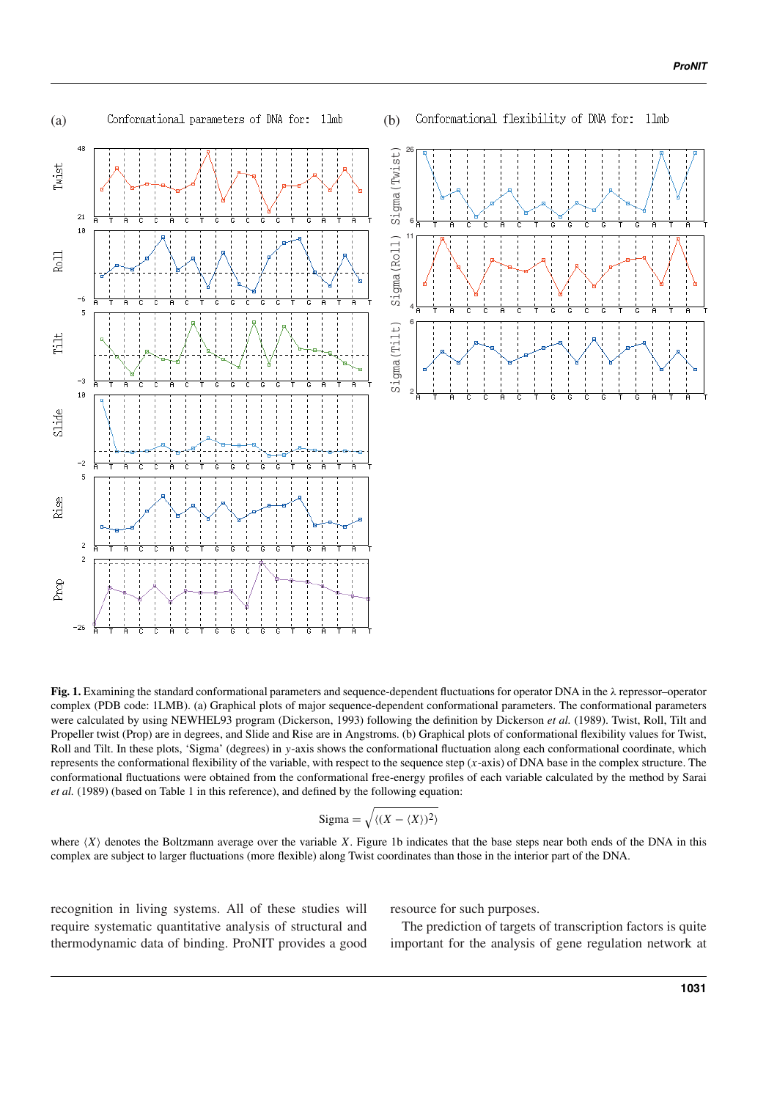

**Fig. 1.** Examining the standard conformational parameters and sequence-dependent fluctuations for operator DNA in the λ repressor–operator complex (PDB code: 1LMB). (a) Graphical plots of major sequence-dependent conformational parameters. The conformational parameters were calculated by using NEWHEL93 program (Dickerson, 1993) following the definition by Dickerson *et al.* (1989). Twist, Roll, Tilt and Propeller twist (Prop) are in degrees, and Slide and Rise are in Angstroms. (b) Graphical plots of conformational flexibility values for Twist, Roll and Tilt. In these plots, 'Sigma' (degrees) in *y*-axis shows the conformational fluctuation along each conformational coordinate, which represents the conformational flexibility of the variable, with respect to the sequence step (*x*-axis) of DNA base in the complex structure. The conformational fluctuations were obtained from the conformational free-energy profiles of each variable calculated by the method by Sarai *et al.* (1989) (based on Table 1 in this reference), and defined by the following equation:

$$
Sigma = \sqrt{\langle (X - \langle X \rangle)^2 \rangle}
$$

where  $\langle X \rangle$  denotes the Boltzmann average over the variable  $X$ . Figure 1b indicates that the base steps near both ends of the DNA in this complex are subject to larger fluctuations (more flexible) along Twist coordinates than those in the interior part of the DNA.

recognition in living systems. All of these studies will require systematic quantitative analysis of structural and thermodynamic data of binding. ProNIT provides a good resource for such purposes.

The prediction of targets of transcription factors is quite important for the analysis of gene regulation network at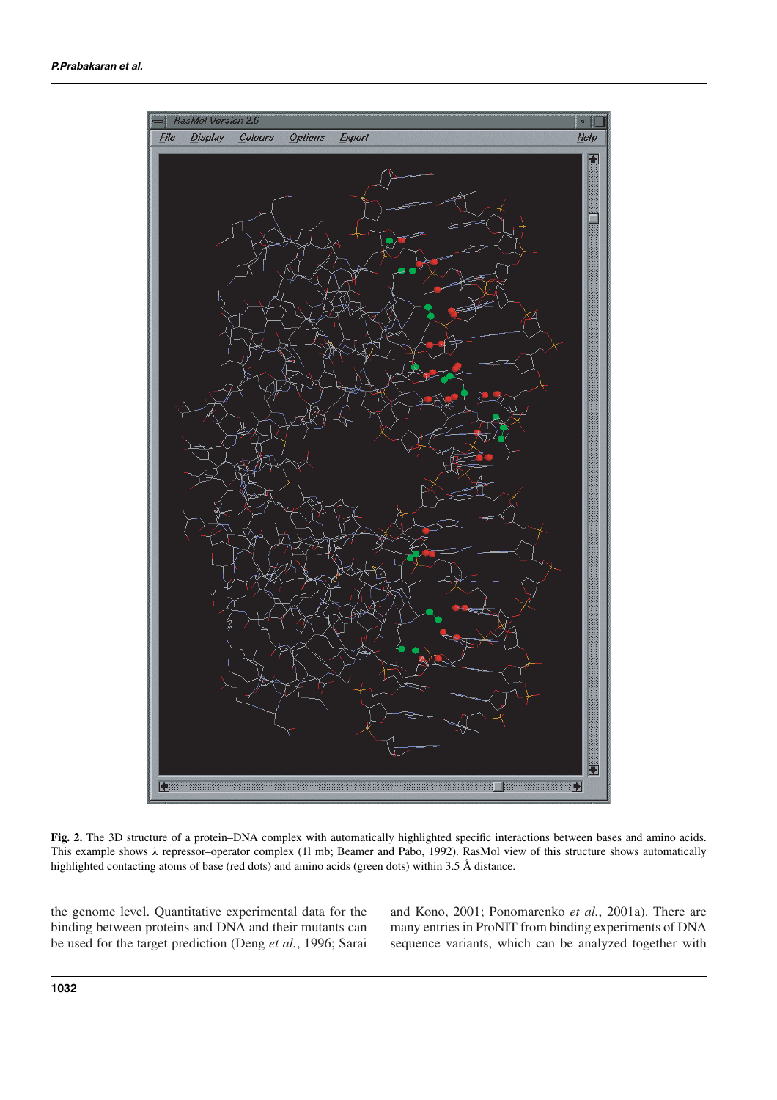

**Fig. 2.** The 3D structure of a protein–DNA complex with automatically highlighted specific interactions between bases and amino acids. This example shows  $\lambda$  repressor–operator complex (11 mb; Beamer and Pabo, 1992). RasMol view of this structure shows automatically highlighted contacting atoms of base (red dots) and amino acids (green dots) within 3.5 Å distance.

the genome level. Quantitative experimental data for the binding between proteins and DNA and their mutants can be used for the target prediction (Deng *et al.*, 1996; Sarai

and Kono, 2001; Ponomarenko *et al.*, 2001a). There are many entries in ProNIT from binding experiments of DNA sequence variants, which can be analyzed together with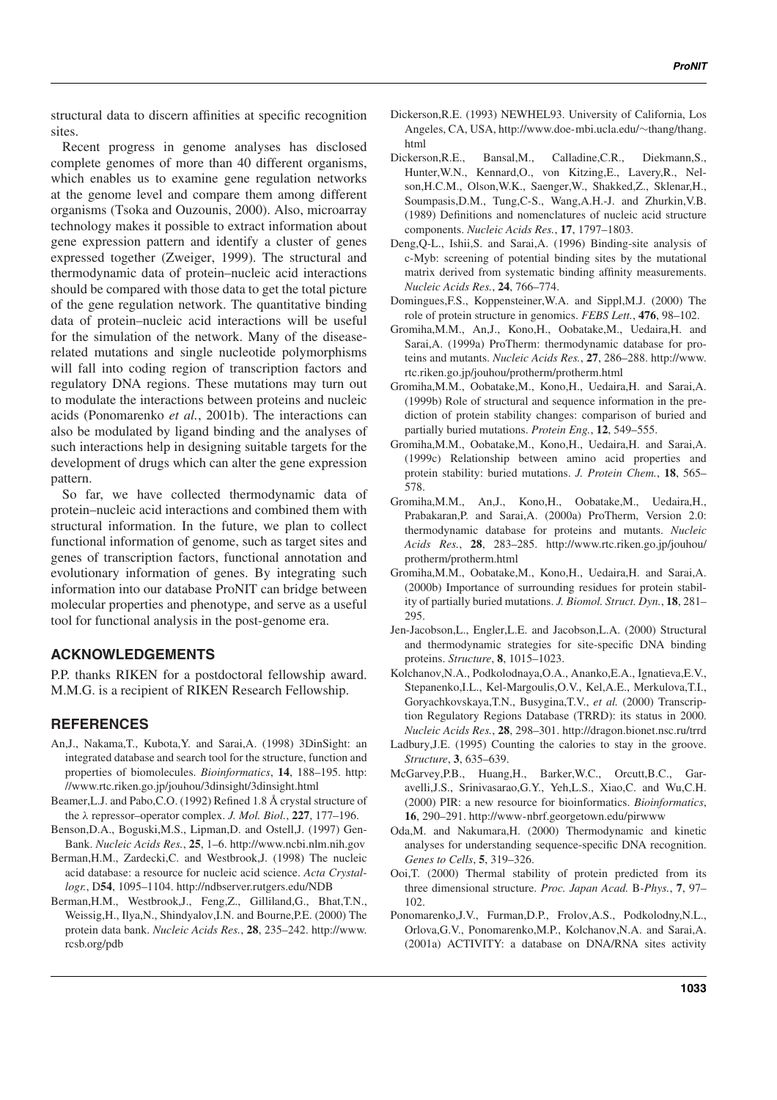structural data to discern affinities at specific recognition sites.

Recent progress in genome analyses has disclosed complete genomes of more than 40 different organisms, which enables us to examine gene regulation networks at the genome level and compare them among different organisms (Tsoka and Ouzounis, 2000). Also, microarray technology makes it possible to extract information about gene expression pattern and identify a cluster of genes expressed together (Zweiger, 1999). The structural and thermodynamic data of protein–nucleic acid interactions should be compared with those data to get the total picture of the gene regulation network. The quantitative binding data of protein–nucleic acid interactions will be useful for the simulation of the network. Many of the diseaserelated mutations and single nucleotide polymorphisms will fall into coding region of transcription factors and regulatory DNA regions. These mutations may turn out to modulate the interactions between proteins and nucleic acids (Ponomarenko *et al.*, 2001b). The interactions can also be modulated by ligand binding and the analyses of such interactions help in designing suitable targets for the development of drugs which can alter the gene expression pattern.

So far, we have collected thermodynamic data of protein–nucleic acid interactions and combined them with structural information. In the future, we plan to collect functional information of genome, such as target sites and genes of transcription factors, functional annotation and evolutionary information of genes. By integrating such information into our database ProNIT can bridge between molecular properties and phenotype, and serve as a useful tool for functional analysis in the post-genome era.

#### **ACKNOWLEDGEMENTS**

P.P. thanks RIKEN for a postdoctoral fellowship award. M.M.G. is a recipient of RIKEN Research Fellowship.

#### **REFERENCES**

- An,J., Nakama,T., Kubota,Y. and Sarai,A. (1998) 3DinSight: an integrated database and search tool for the structure, function and properties of biomolecules. *Bioinformatics*, **14**, 188–195. http: //www.rtc.riken.go.jp/jouhou/3dinsight/3dinsight.html
- Beamer, L.J. and Pabo, C.O. (1992) Refined 1.8 Å crystal structure of the λ repressor–operator complex. *J. Mol. Biol.*, **227**, 177–196.
- Benson,D.A., Boguski,M.S., Lipman,D. and Ostell,J. (1997) Gen-Bank. *Nucleic Acids Res.*, **25**, 1–6. http://www.ncbi.nlm.nih.gov
- Berman,H.M., Zardecki,C. and Westbrook,J. (1998) The nucleic acid database: a resource for nucleic acid science. *Acta Crystallogr.*, D**54**, 1095–1104. http://ndbserver.rutgers.edu/NDB
- Berman,H.M., Westbrook,J., Feng,Z., Gilliland,G., Bhat,T.N., Weissig,H., Ilya,N., Shindyalov,I.N. and Bourne,P.E. (2000) The protein data bank. *Nucleic Acids Res.*, **28**, 235–242. http://www. rcsb.org/pdb
- Dickerson,R.E. (1993) NEWHEL93. University of California, Los Angeles, CA, USA, http://www.doe-mbi.ucla.edu/∼thang/thang. html
- Dickerson,R.E., Bansal,M., Calladine,C.R., Diekmann,S., Hunter,W.N., Kennard,O., von Kitzing,E., Lavery,R., Nelson,H.C.M., Olson,W.K., Saenger,W., Shakked,Z., Sklenar,H., Soumpasis,D.M., Tung,C-S., Wang,A.H.-J. and Zhurkin,V.B. (1989) Definitions and nomenclatures of nucleic acid structure components. *Nucleic Acids Res.*, **17**, 1797–1803.
- Deng,Q-L., Ishii,S. and Sarai,A. (1996) Binding-site analysis of c-Myb: screening of potential binding sites by the mutational matrix derived from systematic binding affinity measurements. *Nucleic Acids Res.*, **24**, 766–774.
- Domingues,F.S., Koppensteiner,W.A. and Sippl,M.J. (2000) The role of protein structure in genomics. *FEBS Lett.*, **476**, 98–102.
- Gromiha,M.M., An,J., Kono,H., Oobatake,M., Uedaira,H. and Sarai,A. (1999a) ProTherm: thermodynamic database for proteins and mutants. *Nucleic Acids Res.*, **27**, 286–288. http://www. rtc.riken.go.jp/jouhou/protherm/protherm.html
- Gromiha,M.M., Oobatake,M., Kono,H., Uedaira,H. and Sarai,A. (1999b) Role of structural and sequence information in the prediction of protein stability changes: comparison of buried and partially buried mutations. *Protein Eng.*, **12**, 549–555.
- Gromiha,M.M., Oobatake,M., Kono,H., Uedaira,H. and Sarai,A. (1999c) Relationship between amino acid properties and protein stability: buried mutations. *J. Protein Chem.*, **18**, 565– 578.
- Gromiha,M.M., An,J., Kono,H., Oobatake,M., Uedaira,H., Prabakaran,P. and Sarai,A. (2000a) ProTherm, Version 2.0: thermodynamic database for proteins and mutants. *Nucleic Acids Res.*, **28**, 283–285. http://www.rtc.riken.go.jp/jouhou/ protherm/protherm.html
- Gromiha,M.M., Oobatake,M., Kono,H., Uedaira,H. and Sarai,A. (2000b) Importance of surrounding residues for protein stability of partially buried mutations. *J. Biomol. Struct. Dyn.*, **18**, 281– 295.
- Jen-Jacobson,L., Engler,L.E. and Jacobson,L.A. (2000) Structural and thermodynamic strategies for site-specific DNA binding proteins. *Structure*, **8**, 1015–1023.
- Kolchanov,N.A., Podkolodnaya,O.A., Ananko,E.A., Ignatieva,E.V., Stepanenko,I.L., Kel-Margoulis,O.V., Kel,A.E., Merkulova,T.I., Goryachkovskaya,T.N., Busygina,T.V., *et al.* (2000) Transcription Regulatory Regions Database (TRRD): its status in 2000. *Nucleic Acids Res.*, **28**, 298–301. http://dragon.bionet.nsc.ru/trrd
- Ladbury,J.E. (1995) Counting the calories to stay in the groove. *Structure*, **3**, 635–639.
- McGarvey,P.B., Huang,H., Barker,W.C., Orcutt,B.C., Garavelli,J.S., Srinivasarao,G.Y., Yeh,L.S., Xiao,C. and Wu,C.H. (2000) PIR: a new resource for bioinformatics. *Bioinformatics*, **16**, 290–291. http://www-nbrf.georgetown.edu/pirwww
- Oda,M. and Nakumara,H. (2000) Thermodynamic and kinetic analyses for understanding sequence-specific DNA recognition. *Genes to Cells*, **5**, 319–326.
- Ooi,T. (2000) Thermal stability of protein predicted from its three dimensional structure. *Proc. Japan Acad.* B*-Phys.*, **7**, 97– 102.
- Ponomarenko,J.V., Furman,D.P., Frolov,A.S., Podkolodny,N.L., Orlova,G.V., Ponomarenko,M.P., Kolchanov,N.A. and Sarai,A. (2001a) ACTIVITY: a database on DNA/RNA sites activity